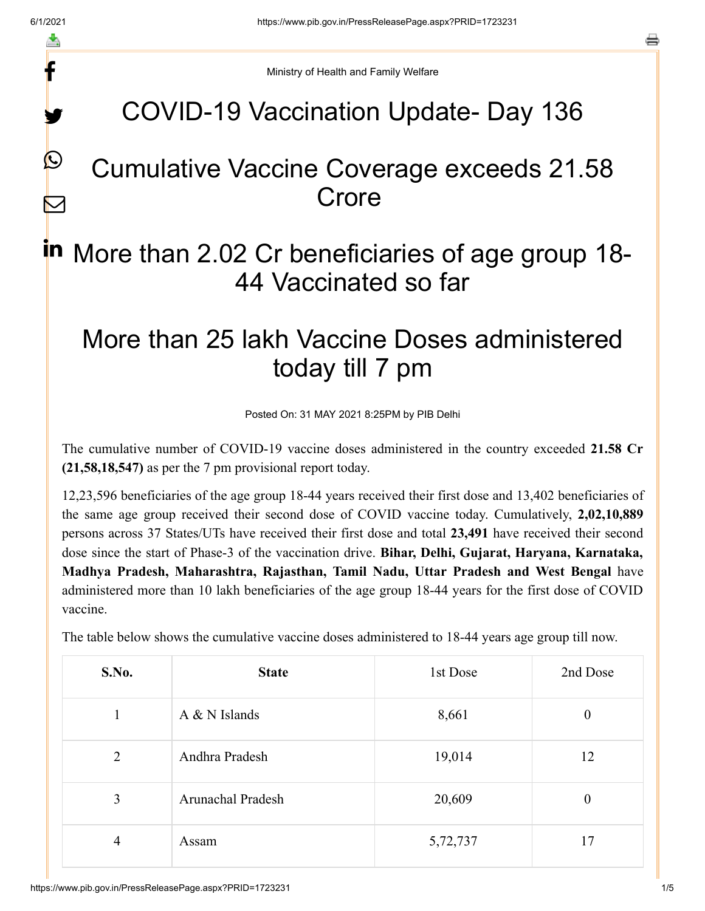f

y.

 $\boldsymbol{\mathcal{Q}}$ 

 $\boldsymbol{\nabla}$ 

a

Ministry of Health and Family Welfare

## COVID-19 Vaccination Update- Day 136

### Cumulative Vaccine Coverage exceeds 21.58 Crore

# in More than 2.02 Cr beneficiaries of age group 18-44 Vaccinated so far

## More than 25 lakh Vaccine Doses administered today till 7 pm

Posted On: 31 MAY 2021 8:25PM by PIB Delhi

The cumulative number of COVID-19 vaccine doses administered in the country exceeded **21.58 Cr (21,58,18,547)** as per the 7 pm provisional report today.

12,23,596 beneficiaries of the age group 18-44 years received their first dose and 13,402 beneficiaries of the same age group received their second dose of COVID vaccine today. Cumulatively, **2,02,10,889** persons across 37 States/UTs have received their first dose and total **23,491** have received their second dose since the start of Phase-3 of the vaccination drive. **Bihar, Delhi, Gujarat, Haryana, Karnataka, Madhya Pradesh, Maharashtra, Rajasthan, Tamil Nadu, Uttar Pradesh and West Bengal** have administered more than 10 lakh beneficiaries of the age group 18-44 years for the first dose of COVID vaccine.

The table below shows the cumulative vaccine doses administered to 18-44 years age group till now.

| S.No. | <b>State</b>      | 1st Dose | 2nd Dose         |
|-------|-------------------|----------|------------------|
|       | A & N Islands     | 8,661    | $\boldsymbol{0}$ |
| 2     | Andhra Pradesh    | 19,014   | 12               |
| 3     | Arunachal Pradesh | 20,609   | $\boldsymbol{0}$ |
| 4     | Assam             | 5,72,737 | 17               |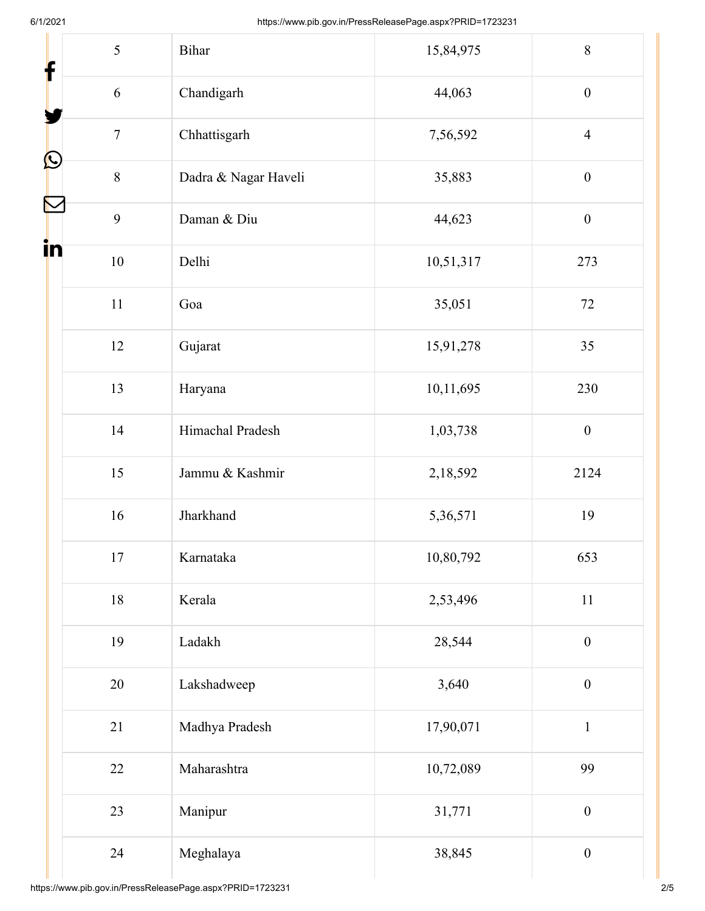| f  | 5              | Bihar                | 15,84,975 | 8                |
|----|----------------|----------------------|-----------|------------------|
|    | 6              | Chandigarh           | 44,063    | $\boldsymbol{0}$ |
|    | $\overline{7}$ | Chhattisgarh         | 7,56,592  | $\overline{4}$   |
| C  | 8              | Dadra & Nagar Haveli | 35,883    | $\boldsymbol{0}$ |
| N  | 9              | Daman & Diu          | 44,623    | $\boldsymbol{0}$ |
| in | 10             | Delhi                | 10,51,317 | 273              |
|    | 11             | Goa                  | 35,051    | 72               |
|    | 12             | Gujarat              | 15,91,278 | 35               |
|    | 13             | Haryana              | 10,11,695 | 230              |
|    | 14             | Himachal Pradesh     | 1,03,738  | $\boldsymbol{0}$ |
|    | 15             | Jammu & Kashmir      | 2,18,592  | 2124             |
|    | 16             | Jharkhand            | 5,36,571  | 19               |
|    | 17             | Karnataka            | 10,80,792 | 653              |
|    | 18             | Kerala               | 2,53,496  | 11               |
|    | 19             | Ladakh               | 28,544    | $\boldsymbol{0}$ |
|    | 20             | Lakshadweep          | 3,640     | $\boldsymbol{0}$ |
|    | 21             | Madhya Pradesh       | 17,90,071 | $\mathbf 1$      |
|    | 22             | Maharashtra          | 10,72,089 | 99               |
|    | 23             | Manipur              | 31,771    | $\boldsymbol{0}$ |
|    | 24             | Meghalaya            | 38,845    | $\boldsymbol{0}$ |

Ш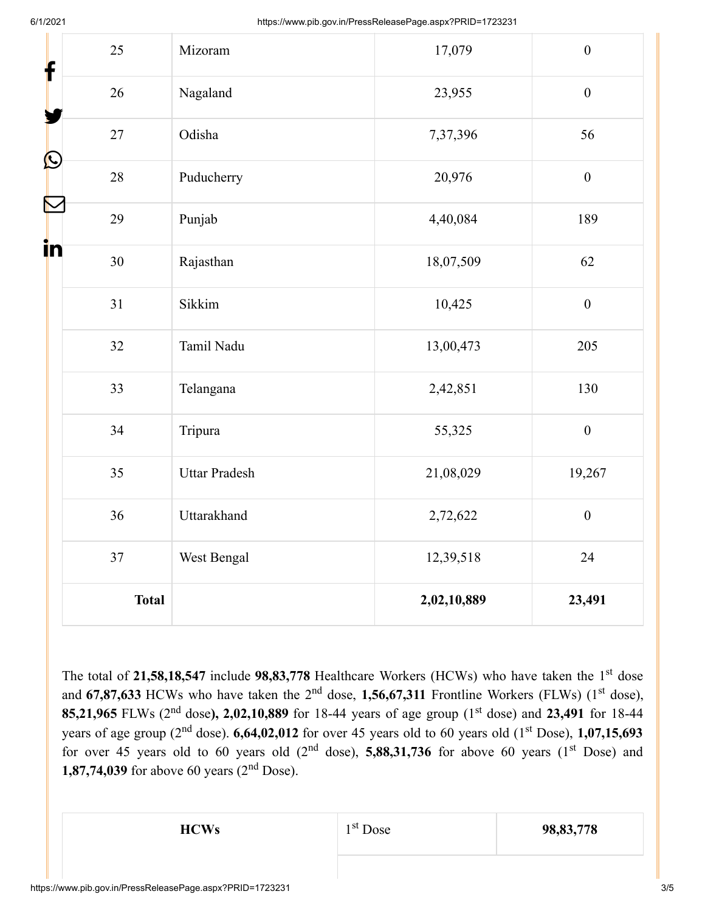| $\mathbf f$  | 25           | Mizoram              | 17,079      | $\boldsymbol{0}$ |
|--------------|--------------|----------------------|-------------|------------------|
|              | 26           | Nagaland             | 23,955      | $\boldsymbol{0}$ |
|              | 27           | Odisha               | 7,37,396    | 56               |
| $\bf \Omega$ | 28           | Puducherry           | 20,976      | $\boldsymbol{0}$ |
|              | 29           | Punjab               | 4,40,084    | 189              |
| in           | 30           | Rajasthan            | 18,07,509   | 62               |
|              | 31           | Sikkim               | 10,425      | $\boldsymbol{0}$ |
|              | 32           | Tamil Nadu           | 13,00,473   | 205              |
|              | 33           | Telangana            | 2,42,851    | 130              |
|              | 34           | Tripura              | 55,325      | $\boldsymbol{0}$ |
|              | 35           | <b>Uttar Pradesh</b> | 21,08,029   | 19,267           |
|              | 36           | Uttarakhand          | 2,72,622    | $\boldsymbol{0}$ |
|              | 37           | West Bengal          | 12,39,518   | 24               |
|              | <b>Total</b> |                      | 2,02,10,889 | 23,491           |

The total of 21,58,18,547 include 98,83,778 Healthcare Workers (HCWs) who have taken the 1<sup>st</sup> dose and  $67,87,633$  HCWs who have taken the 2<sup>nd</sup> dose, 1,56,67,311 Frontline Workers (FLWs) (1<sup>st</sup> dose), 85,21,965 FLWs (2<sup>nd</sup> dose), 2,02,10,889 for 18-44 years of age group (1<sup>st</sup> dose) and 23,491 for 18-44 years of age group ( $2<sup>nd</sup>$  dose). **6,64,02,012** for over 45 years old to 60 years old ( $1<sup>st</sup>$  Dose), **1,07,15,693** for over 45 years old to 60 years old  $(2<sup>nd</sup> dose)$ , **5,88,31,736** for above 60 years  $(1<sup>st</sup> Does)$  and **1,87,74,039** for above 60 years  $(2<sup>nd</sup>$  Dose).

1<sup>st</sup> Dose

**HCWs** 1<sup>st</sup> Dose 98,83,778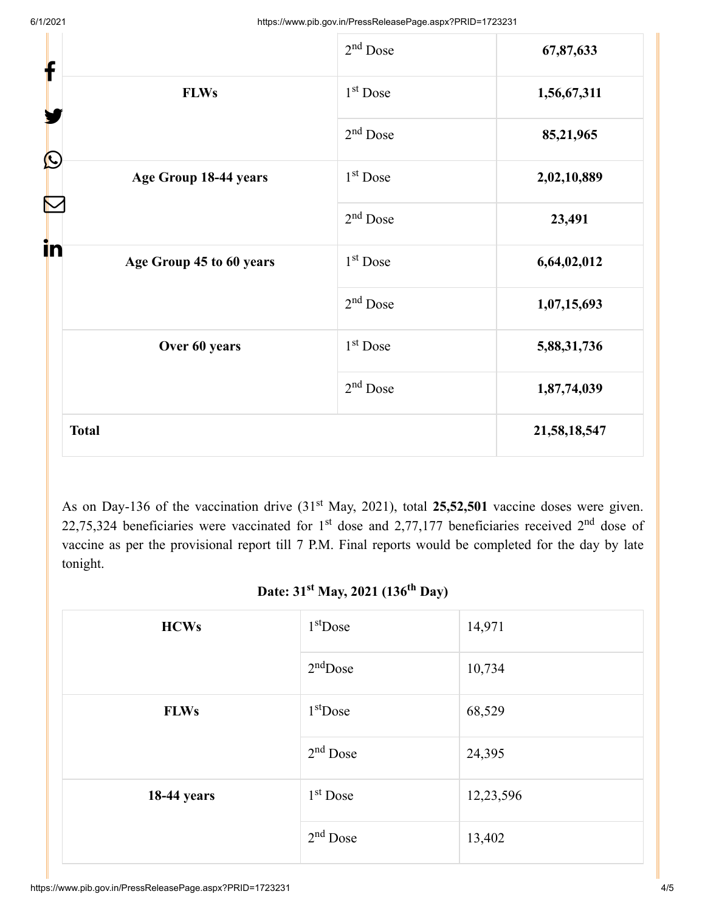| f                        | $2nd$ Dose           | 67,87,633    |
|--------------------------|----------------------|--------------|
| <b>FLWs</b>              | 1 <sup>st</sup> Dose | 1,56,67,311  |
| $\bigcirc$               | $2nd$ Dose           | 85,21,965    |
| Age Group 18-44 years    | $1st$ Dose           | 2,02,10,889  |
| i <mark>n</mark>         | $2nd$ Dose           | 23,491       |
| Age Group 45 to 60 years | 1 <sup>st</sup> Dose | 6,64,02,012  |
|                          | $2nd$ Dose           | 1,07,15,693  |
| Over 60 years            | 1 <sup>st</sup> Dose | 5,88,31,736  |
|                          | $2nd$ Dose           | 1,87,74,039  |
| <b>Total</b>             |                      | 21,58,18,547 |

As on Day-136 of the vaccination drive (31<sup>st</sup> May, 2021), total 25,52,501 vaccine doses were given. 22,75,324 beneficiaries were vaccinated for 1<sup>st</sup> dose and 2,77,177 beneficiaries received 2<sup>nd</sup> dose of vaccine as per the provisional report till 7 P.M. Final reports would be completed for the day by late tonight.

#### Date: 31<sup>st</sup> May, 2021 (136<sup>th</sup> Day)

| <b>HCWs</b>        | $1st$ Dose | 14,971    |
|--------------------|------------|-----------|
|                    | $2nd$ Dose | 10,734    |
| <b>FLWs</b>        | $1st$ Dose | 68,529    |
|                    | $2nd$ Dose | 24,395    |
| <b>18-44 years</b> | $1st$ Dose | 12,23,596 |
|                    | $2nd$ Dose | 13,402    |